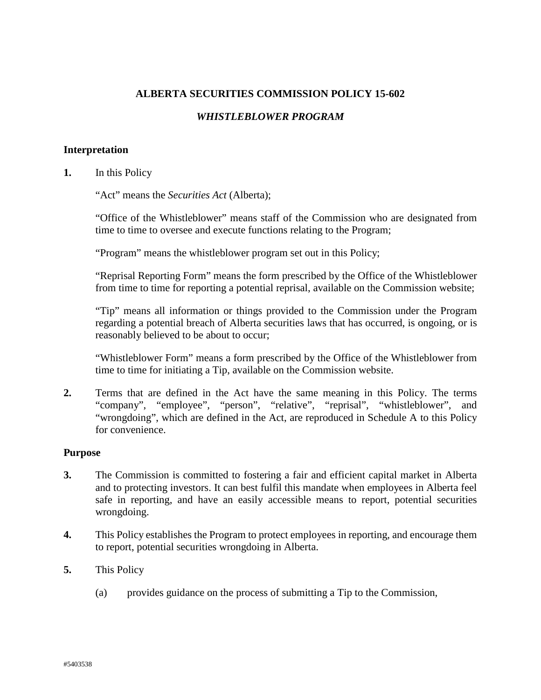# **ALBERTA SECURITIES COMMISSION POLICY 15-602**

# *WHISTLEBLOWER PROGRAM*

# **Interpretation**

**1.** In this Policy

"Act" means the *Securities Act* (Alberta);

"Office of the Whistleblower" means staff of the Commission who are designated from time to time to oversee and execute functions relating to the Program;

"Program" means the whistleblower program set out in this Policy;

"Reprisal Reporting Form" means the form prescribed by the Office of the Whistleblower from time to time for reporting a potential reprisal, available on the Commission website;

"Tip" means all information or things provided to the Commission under the Program regarding a potential breach of Alberta securities laws that has occurred, is ongoing, or is reasonably believed to be about to occur;

"Whistleblower Form" means a form prescribed by the Office of the Whistleblower from time to time for initiating a Tip, available on the Commission website.

**2.** Terms that are defined in the Act have the same meaning in this Policy. The terms "company", "employee", "person", "relative", "reprisal", "whistleblower", and "wrongdoing", which are defined in the Act, are reproduced in Schedule A to this Policy for convenience.

#### **Purpose**

- **3.** The Commission is committed to fostering a fair and efficient capital market in Alberta and to protecting investors. It can best fulfil this mandate when employees in Alberta feel safe in reporting, and have an easily accessible means to report, potential securities wrongdoing.
- **4.** This Policy establishes the Program to protect employees in reporting, and encourage them to report, potential securities wrongdoing in Alberta.
- **5.** This Policy
	- (a) provides guidance on the process of submitting a Tip to the Commission,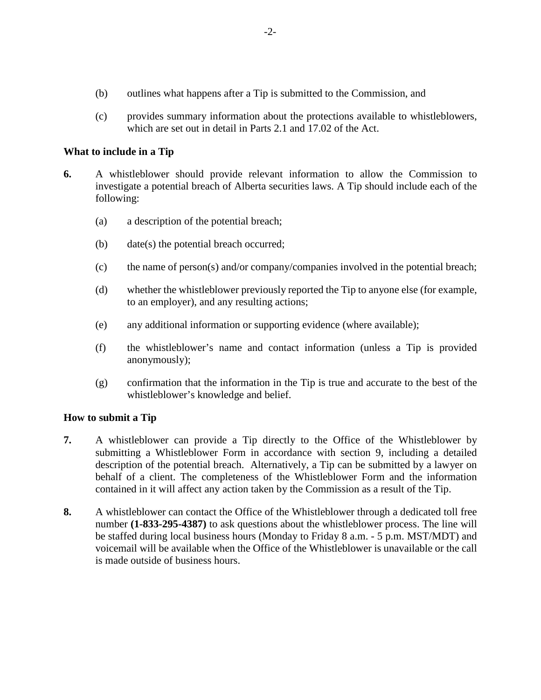- (b) outlines what happens after a Tip is submitted to the Commission, and
- (c) provides summary information about the protections available to whistleblowers, which are set out in detail in Parts 2.1 and 17.02 of the Act.

# **What to include in a Tip**

- **6.** A whistleblower should provide relevant information to allow the Commission to investigate a potential breach of Alberta securities laws. A Tip should include each of the following:
	- (a) a description of the potential breach;
	- (b) date(s) the potential breach occurred;
	- (c) the name of person(s) and/or company/companies involved in the potential breach;
	- (d) whether the whistleblower previously reported the Tip to anyone else (for example, to an employer), and any resulting actions;
	- (e) any additional information or supporting evidence (where available);
	- (f) the whistleblower's name and contact information (unless a Tip is provided anonymously);
	- (g) confirmation that the information in the Tip is true and accurate to the best of the whistleblower's knowledge and belief.

# **How to submit a Tip**

- **7.** A whistleblower can provide a Tip directly to the Office of the Whistleblower by submitting a Whistleblower Form in accordance with section 9, including a detailed description of the potential breach. Alternatively, a Tip can be submitted by a lawyer on behalf of a client. The completeness of the Whistleblower Form and the information contained in it will affect any action taken by the Commission as a result of the Tip.
- **8.** A whistleblower can contact the Office of the Whistleblower through a dedicated toll free number **(1-833-295-4387)** to ask questions about the whistleblower process. The line will be staffed during local business hours (Monday to Friday 8 a.m. - 5 p.m. MST/MDT) and voicemail will be available when the Office of the Whistleblower is unavailable or the call is made outside of business hours.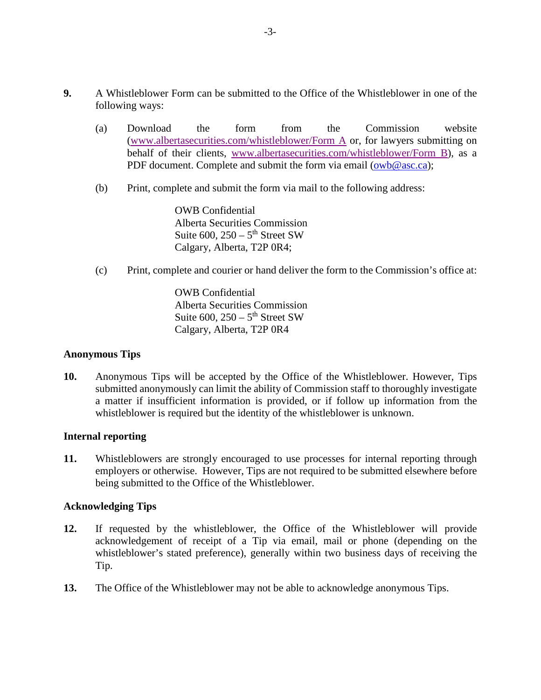- **9.** A Whistleblower Form can be submitted to the Office of the Whistleblower in one of the following ways:
	- (a) Download the form from the Commission website [\(www.albertasecurities.com/whistleblower/Form A](https://www.albertasecurities.com/-/media/ASC-Documents-part-2/Enforcement/owb-form-a.ashx?la=en&hash=8E35336028B738F9D93F95425D135B9B) or, for lawyers submitting on behalf of their clients, [www.albertasecurities.com/whistleblower/Form B\)](https://www.albertasecurities.com/-/media/ASC-Documents-part-2/Enforcement/owb-form-b.ashx?la=en&hash=DCA7199E2425C7AE2BCBF76A5D2F9C0F), as a PDF document. Complete and submit the form via email [\(owb@asc.ca\)](mailto:OWB@asc.ca);
	- (b) Print, complete and submit the form via mail to the following address:

OWB Confidential Alberta Securities Commission Suite  $600$ ,  $250 - 5$ <sup>th</sup> Street SW Calgary, Alberta, T2P 0R4;

(c) Print, complete and courier or hand deliver the form to the Commission's office at:

OWB Confidential Alberta Securities Commission Suite  $600$ ,  $250 - 5$ <sup>th</sup> Street SW Calgary, Alberta, T2P 0R4

# **Anonymous Tips**

**10.** Anonymous Tips will be accepted by the Office of the Whistleblower. However, Tips submitted anonymously can limit the ability of Commission staff to thoroughly investigate a matter if insufficient information is provided, or if follow up information from the whistleblower is required but the identity of the whistleblower is unknown.

# **Internal reporting**

**11.** Whistleblowers are strongly encouraged to use processes for internal reporting through employers or otherwise. However, Tips are not required to be submitted elsewhere before being submitted to the Office of the Whistleblower.

# **Acknowledging Tips**

- **12.** If requested by the whistleblower, the Office of the Whistleblower will provide acknowledgement of receipt of a Tip via email, mail or phone (depending on the whistleblower's stated preference), generally within two business days of receiving the Tip.
- **13.** The Office of the Whistleblower may not be able to acknowledge anonymous Tips.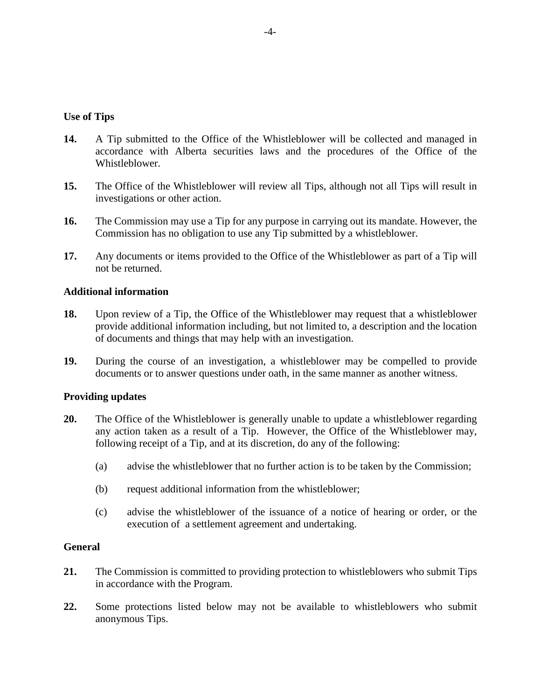### **Use of Tips**

- **14.** A Tip submitted to the Office of the Whistleblower will be collected and managed in accordance with Alberta securities laws and the procedures of the Office of the Whistleblower.
- **15.** The Office of the Whistleblower will review all Tips, although not all Tips will result in investigations or other action.
- **16.** The Commission may use a Tip for any purpose in carrying out its mandate. However, the Commission has no obligation to use any Tip submitted by a whistleblower.
- **17.** Any documents or items provided to the Office of the Whistleblower as part of a Tip will not be returned.

### **Additional information**

- **18.** Upon review of a Tip, the Office of the Whistleblower may request that a whistleblower provide additional information including, but not limited to, a description and the location of documents and things that may help with an investigation.
- **19.** During the course of an investigation, a whistleblower may be compelled to provide documents or to answer questions under oath, in the same manner as another witness.

#### **Providing updates**

- **20.** The Office of the Whistleblower is generally unable to update a whistleblower regarding any action taken as a result of a Tip. However, the Office of the Whistleblower may, following receipt of a Tip, and at its discretion, do any of the following:
	- (a) advise the whistleblower that no further action is to be taken by the Commission;
	- (b) request additional information from the whistleblower;
	- (c) advise the whistleblower of the issuance of a notice of hearing or order, or the execution of a settlement agreement and undertaking.

### **General**

- **21.** The Commission is committed to providing protection to whistleblowers who submit Tips in accordance with the Program.
- **22.** Some protections listed below may not be available to whistleblowers who submit anonymous Tips.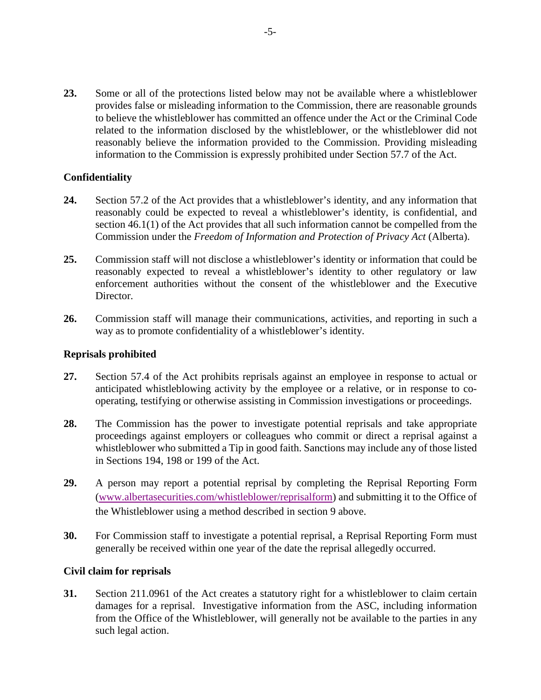**23.** Some or all of the protections listed below may not be available where a whistleblower provides false or misleading information to the Commission, there are reasonable grounds to believe the whistleblower has committed an offence under the Act or the Criminal Code related to the information disclosed by the whistleblower, or the whistleblower did not reasonably believe the information provided to the Commission. Providing misleading information to the Commission is expressly prohibited under Section 57.7 of the Act.

# **Confidentiality**

- **24.** Section 57.2 of the Act provides that a whistleblower's identity, and any information that reasonably could be expected to reveal a whistleblower's identity, is confidential, and section 46.1(1) of the Act provides that all such information cannot be compelled from the Commission under the *Freedom of Information and Protection of Privacy Act* (Alberta).
- **25.** Commission staff will not disclose a whistleblower's identity or information that could be reasonably expected to reveal a whistleblower's identity to other regulatory or law enforcement authorities without the consent of the whistleblower and the Executive Director.
- **26.** Commission staff will manage their communications, activities, and reporting in such a way as to promote confidentiality of a whistleblower's identity.

### **Reprisals prohibited**

- **27.** Section 57.4 of the Act prohibits reprisals against an employee in response to actual or anticipated whistleblowing activity by the employee or a relative, or in response to cooperating, testifying or otherwise assisting in Commission investigations or proceedings.
- **28.** The Commission has the power to investigate potential reprisals and take appropriate proceedings against employers or colleagues who commit or direct a reprisal against a whistleblower who submitted a Tip in good faith. Sanctions may include any of those listed in Sections 194, 198 or 199 of the Act.
- **29.** A person may report a potential reprisal by completing the Reprisal Reporting Form [\(www.albertasecurities.com/whistleblower/reprisalform\)](https://www.albertasecurities.com/-/media/ASC-Documents-part-2/Enforcement/owb-reprisal-reporting-form.ashx?la=en&hash=6E218321CE3C999BC5D4255C63D00448) and submitting it to the Office of the Whistleblower using a method described in section 9 above.
- **30.** For Commission staff to investigate a potential reprisal, a Reprisal Reporting Form must generally be received within one year of the date the reprisal allegedly occurred.

#### **Civil claim for reprisals**

**31.** Section 211.0961 of the Act creates a statutory right for a whistleblower to claim certain damages for a reprisal. Investigative information from the ASC, including information from the Office of the Whistleblower, will generally not be available to the parties in any such legal action.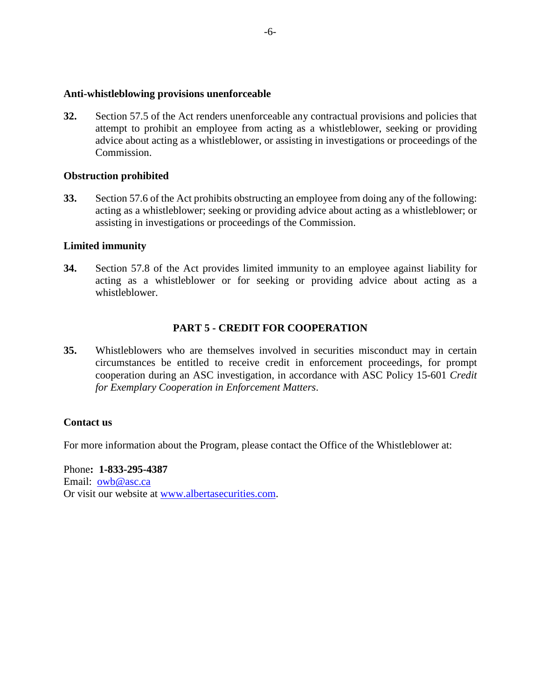### **Anti-whistleblowing provisions unenforceable**

**32.** Section 57.5 of the Act renders unenforceable any contractual provisions and policies that attempt to prohibit an employee from acting as a whistleblower, seeking or providing advice about acting as a whistleblower, or assisting in investigations or proceedings of the Commission.

### **Obstruction prohibited**

**33.** Section 57.6 of the Act prohibits obstructing an employee from doing any of the following: acting as a whistleblower; seeking or providing advice about acting as a whistleblower; or assisting in investigations or proceedings of the Commission.

# **Limited immunity**

**34.** Section 57.8 of the Act provides limited immunity to an employee against liability for acting as a whistleblower or for seeking or providing advice about acting as a whistleblower.

# **PART 5 - CREDIT FOR COOPERATION**

**35.** Whistleblowers who are themselves involved in securities misconduct may in certain circumstances be entitled to receive credit in enforcement proceedings, for prompt cooperation during an ASC investigation, in accordance with ASC Policy 15-601 *Credit for Exemplary Cooperation in Enforcement Matters*.

# **Contact us**

For more information about the Program, please contact the Office of the Whistleblower at:

Phone**: 1-833-295-4387** Email: [owb@asc.ca](mailto:owb@asc.ca) Or visit our website at [www.albertasecurities.com.](http://www.albertasecurities.com/)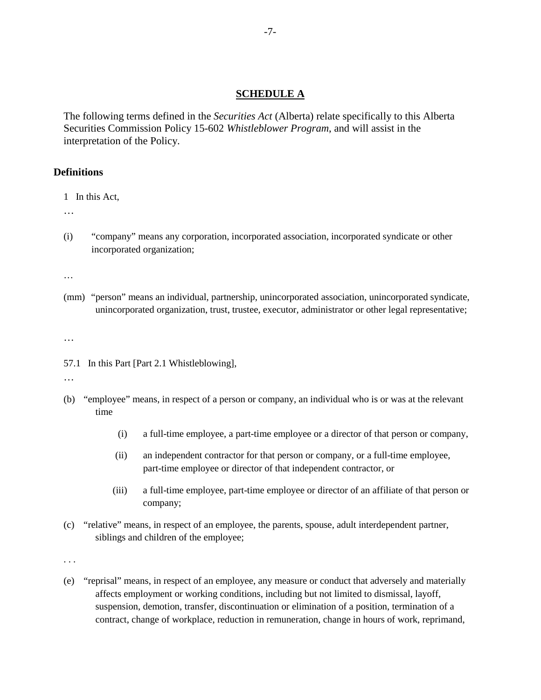### **SCHEDULE A**

The following terms defined in the *Securities Act* (Alberta) relate specifically to this Alberta Securities Commission Policy 15-602 *Whistleblower Program*, and will assist in the interpretation of the Policy.

### **Definitions**

1 In this Act,

…

(i) "company" means any corporation, incorporated association, incorporated syndicate or other incorporated organization;

…

(mm) "person" means an individual, partnership, unincorporated association, unincorporated syndicate, unincorporated organization, trust, trustee, executor, administrator or other legal representative;

…

57.1 In this Part [Part 2.1 Whistleblowing],

…

- (b) "employee" means, in respect of a person or company, an individual who is or was at the relevant time
	- (i) a full-time employee, a part-time employee or a director of that person or company,
	- (ii) an independent contractor for that person or company, or a full-time employee, part-time employee or director of that independent contractor, or
	- (iii) a full-time employee, part-time employee or director of an affiliate of that person or company;
- (c) "relative" means, in respect of an employee, the parents, spouse, adult interdependent partner, siblings and children of the employee;

. . .

(e) "reprisal" means, in respect of an employee, any measure or conduct that adversely and materially affects employment or working conditions, including but not limited to dismissal, layoff, suspension, demotion, transfer, discontinuation or elimination of a position, termination of a contract, change of workplace, reduction in remuneration, change in hours of work, reprimand,